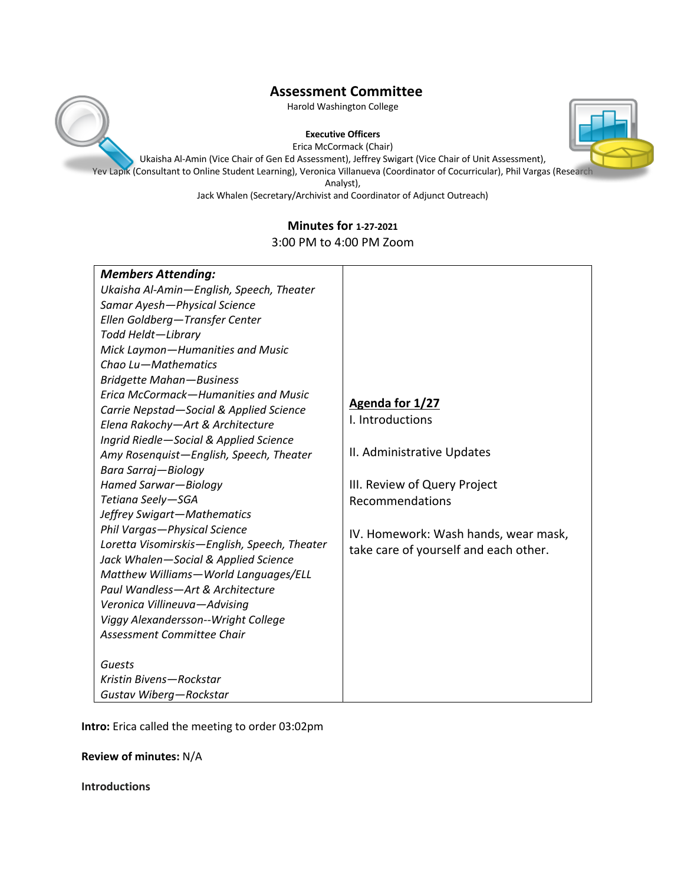

### **Executive Officers**





Ukaisha Al-Amin (Vice Chair of Gen Ed Assessment), Jeffrey Swigart (Vice Chair of Unit Assessment), Yev Lapik (Consultant to Online Student Learning), Veronica Villanueva (Coordinator of Cocurricular), Phil Vargas (Research

Analyst),

Jack Whalen (Secretary/Archivist and Coordinator of Adjunct Outreach)

## **Minutes for 1-27-2021** 3:00 PM to 4:00 PM Zoom

| <b>Members Attending:</b>                    |                                       |
|----------------------------------------------|---------------------------------------|
| Ukaisha Al-Amin-English, Speech, Theater     |                                       |
| Samar Ayesh-Physical Science                 |                                       |
| Ellen Goldberg-Transfer Center               |                                       |
| Todd Heldt-Library                           |                                       |
| Mick Laymon-Humanities and Music             |                                       |
| Chao Lu-Mathematics                          |                                       |
| <b>Bridgette Mahan-Business</b>              |                                       |
| Erica McCormack-Humanities and Music         |                                       |
| Carrie Nepstad-Social & Applied Science      | Agenda for 1/27                       |
| Elena Rakochy-Art & Architecture             | I. Introductions                      |
| Ingrid Riedle-Social & Applied Science       |                                       |
| Amy Rosenquist-English, Speech, Theater      | II. Administrative Updates            |
| Bara Sarraj-Biology                          |                                       |
| Hamed Sarwar-Biology                         | III. Review of Query Project          |
| Tetiana Seely-SGA                            | Recommendations                       |
| Jeffrey Swigart-Mathematics                  |                                       |
| Phil Vargas-Physical Science                 | IV. Homework: Wash hands, wear mask,  |
| Loretta Visomirskis-English, Speech, Theater | take care of yourself and each other. |
| Jack Whalen-Social & Applied Science         |                                       |
| Matthew Williams-World Languages/ELL         |                                       |
| Paul Wandless-Art & Architecture             |                                       |
| Veronica Villineuva-Advising                 |                                       |
| Viggy Alexandersson--Wright College          |                                       |
| Assessment Committee Chair                   |                                       |
|                                              |                                       |
| Guests                                       |                                       |
| Kristin Bivens-Rockstar                      |                                       |
| Gustav Wiberg-Rockstar                       |                                       |

**Intro:** Erica called the meeting to order 03:02pm

**Review of minutes:** N/A

**Introductions**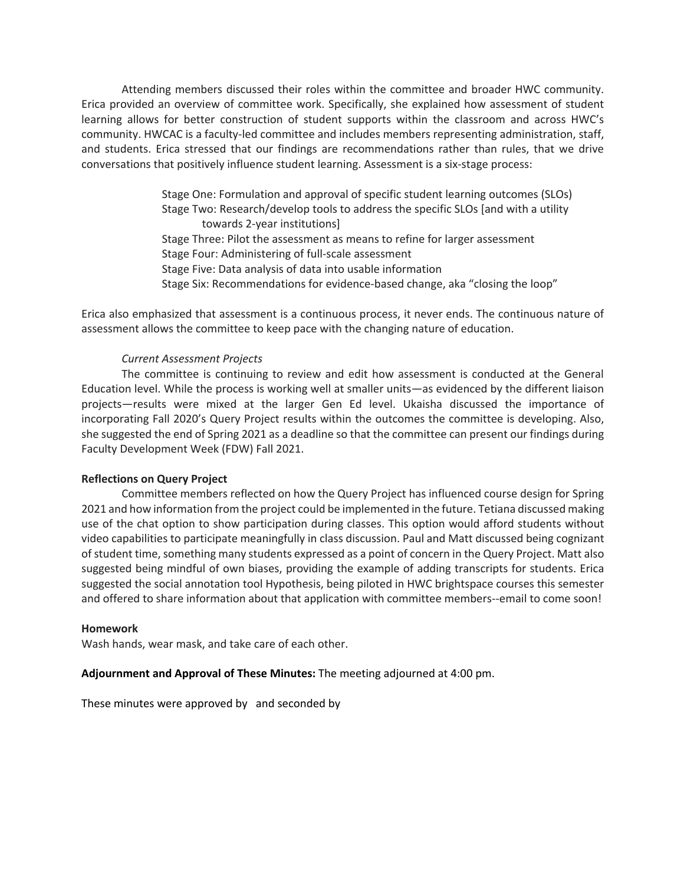Attending members discussed their roles within the committee and broader HWC community. Erica provided an overview of committee work. Specifically, she explained how assessment of student learning allows for better construction of student supports within the classroom and across HWC's community. HWCAC is a faculty-led committee and includes members representing administration, staff, and students. Erica stressed that our findings are recommendations rather than rules, that we drive conversations that positively influence student learning. Assessment is a six-stage process:

> Stage One: Formulation and approval of specific student learning outcomes (SLOs) Stage Two: Research/develop tools to address the specific SLOs [and with a utility towards 2-year institutions] Stage Three: Pilot the assessment as means to refine for larger assessment Stage Four: Administering of full-scale assessment Stage Five: Data analysis of data into usable information Stage Six: Recommendations for evidence-based change, aka "closing the loop"

Erica also emphasized that assessment is a continuous process, it never ends. The continuous nature of assessment allows the committee to keep pace with the changing nature of education.

## *Current Assessment Projects*

The committee is continuing to review and edit how assessment is conducted at the General Education level. While the process is working well at smaller units—as evidenced by the different liaison projects—results were mixed at the larger Gen Ed level. Ukaisha discussed the importance of incorporating Fall 2020's Query Project results within the outcomes the committee is developing. Also, she suggested the end of Spring 2021 as a deadline so that the committee can present our findings during Faculty Development Week (FDW) Fall 2021.

## **Reflections on Query Project**

Committee members reflected on how the Query Project has influenced course design for Spring 2021 and how information from the project could be implemented in the future. Tetiana discussed making use of the chat option to show participation during classes. This option would afford students without video capabilities to participate meaningfully in class discussion. Paul and Matt discussed being cognizant of student time, something many students expressed as a point of concern in the Query Project. Matt also suggested being mindful of own biases, providing the example of adding transcripts for students. Erica suggested the social annotation tool Hypothesis, being piloted in HWC brightspace courses this semester and offered to share information about that application with committee members--email to come soon!

## **Homework**

Wash hands, wear mask, and take care of each other.

## **Adjournment and Approval of These Minutes:** The meeting adjourned at 4:00 pm.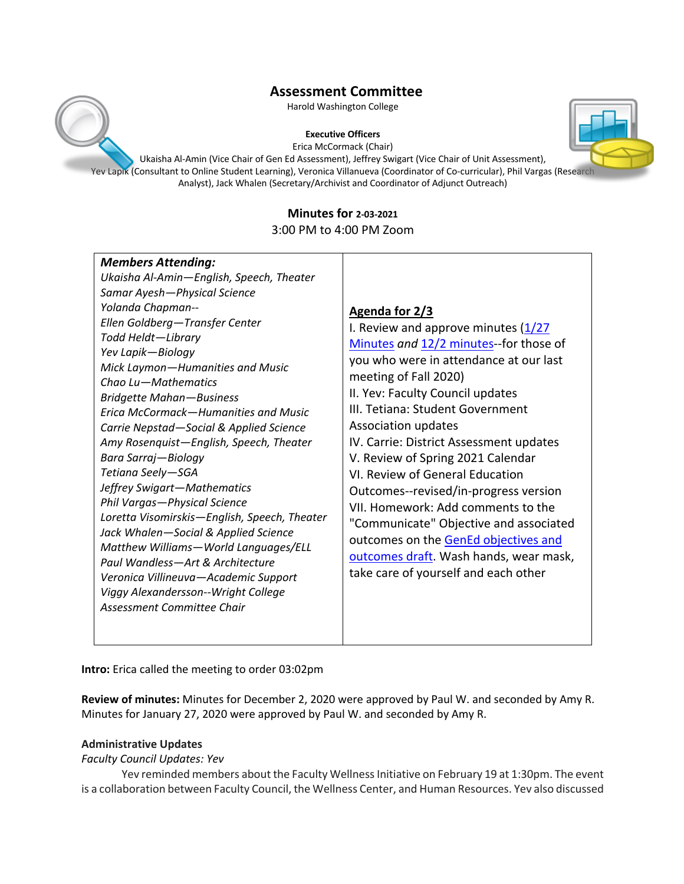Harold Washington College

### **Executive Officers**

Erica McCormack (Chair)

Ukaisha Al-Amin (Vice Chair of Gen Ed Assessment), Jeffrey Swigart (Vice Chair of Unit Assessment), Yev Lapik (Consultant to Online Student Learning), Veronica Villanueva (Coordinator of Co-curricular), Phil Vargas (Research Analyst), Jack Whalen (Secretary/Archivist and Coordinator of Adjunct Outreach)

# **Minutes for 2-03-2021**

3:00 PM to 4:00 PM Zoom

| <b>Members Attending:</b>                                                |                                         |
|--------------------------------------------------------------------------|-----------------------------------------|
| Ukaisha Al-Amin-English, Speech, Theater                                 |                                         |
| Samar Ayesh-Physical Science                                             |                                         |
| Yolanda Chapman--                                                        | Agenda for 2/3                          |
| Ellen Goldberg-Transfer Center                                           | I. Review and approve minutes $(1/27)$  |
| Todd Heldt-Library                                                       | Minutes and 12/2 minutes-for those of   |
| Yev Lapik-Biology                                                        | you who were in attendance at our last  |
| Mick Laymon-Humanities and Music                                         | meeting of Fall 2020)                   |
| Chao Lu-Mathematics                                                      | II. Yev: Faculty Council updates        |
| <b>Bridgette Mahan-Business</b>                                          | III. Tetiana: Student Government        |
| Erica McCormack-Humanities and Music                                     |                                         |
| Carrie Nepstad-Social & Applied Science                                  | Association updates                     |
| Amy Rosenquist-English, Speech, Theater                                  | IV. Carrie: District Assessment updates |
| Bara Sarraj-Biology                                                      | V. Review of Spring 2021 Calendar       |
| Tetiana Seely-SGA                                                        | VI. Review of General Education         |
| Jeffrey Swigart-Mathematics                                              | Outcomes--revised/in-progress version   |
| Phil Vargas-Physical Science                                             | VII. Homework: Add comments to the      |
| Loretta Visomirskis-English, Speech, Theater                             | "Communicate" Objective and associated  |
| Jack Whalen-Social & Applied Science                                     | outcomes on the GenEd objectives and    |
| Matthew Williams-World Languages/ELL<br>Paul Wandless-Art & Architecture | outcomes draft. Wash hands, wear mask,  |
| Veronica Villineuva-Academic Support                                     | take care of yourself and each other    |
| Viggy Alexandersson--Wright College                                      |                                         |
| Assessment Committee Chair                                               |                                         |
|                                                                          |                                         |
|                                                                          |                                         |

**Intro:** Erica called the meeting to order 03:02pm

**Review of minutes:** Minutes for December 2, 2020 were approved by Paul W. and seconded by Amy R. Minutes for January 27, 2020 were approved by Paul W. and seconded by Amy R.

## **Administrative Updates**

## *Faculty Council Updates: Yev*

Yev reminded members about the Faculty Wellness Initiative on February 19 at 1:30pm. The event is a collaboration between Faculty Council, the Wellness Center, and Human Resources. Yev also discussed



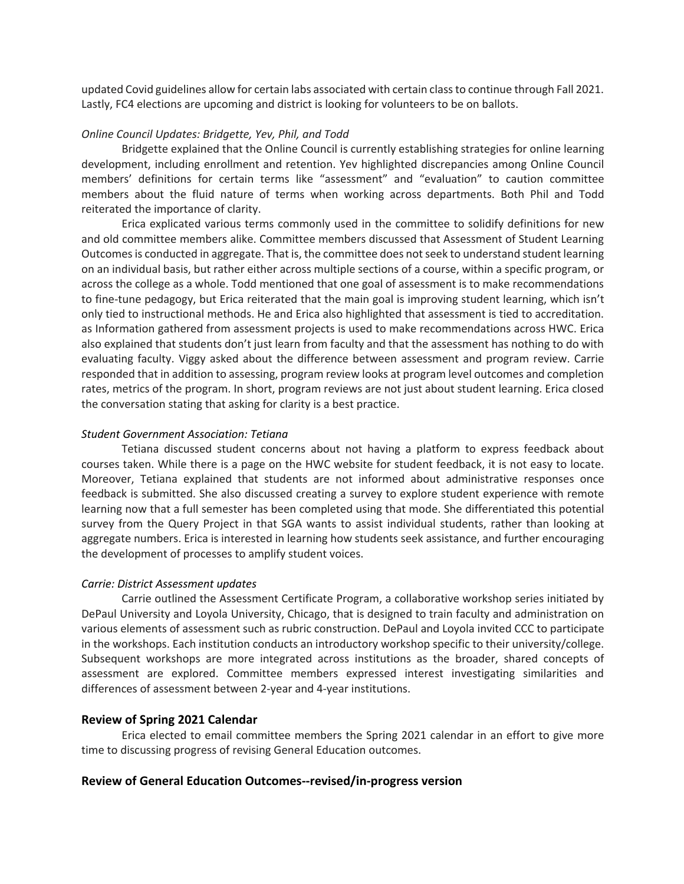updated Covid guidelines allow for certain labs associated with certain class to continue through Fall 2021. Lastly, FC4 elections are upcoming and district is looking for volunteers to be on ballots.

## *Online Council Updates: Bridgette, Yev, Phil, and Todd*

Bridgette explained that the Online Council is currently establishing strategies for online learning development, including enrollment and retention. Yev highlighted discrepancies among Online Council members' definitions for certain terms like "assessment" and "evaluation" to caution committee members about the fluid nature of terms when working across departments. Both Phil and Todd reiterated the importance of clarity.

Erica explicated various terms commonly used in the committee to solidify definitions for new and old committee members alike. Committee members discussed that Assessment of Student Learning Outcomes is conducted in aggregate. That is, the committee does not seek to understand student learning on an individual basis, but rather either across multiple sections of a course, within a specific program, or across the college as a whole. Todd mentioned that one goal of assessment is to make recommendations to fine-tune pedagogy, but Erica reiterated that the main goal is improving student learning, which isn't only tied to instructional methods. He and Erica also highlighted that assessment is tied to accreditation. as Information gathered from assessment projects is used to make recommendations across HWC. Erica also explained that students don't just learn from faculty and that the assessment has nothing to do with evaluating faculty. Viggy asked about the difference between assessment and program review. Carrie responded that in addition to assessing, program review looks at program level outcomes and completion rates, metrics of the program. In short, program reviews are not just about student learning. Erica closed the conversation stating that asking for clarity is a best practice.

### *Student Government Association: Tetiana*

Tetiana discussed student concerns about not having a platform to express feedback about courses taken. While there is a page on the HWC website for student feedback, it is not easy to locate. Moreover, Tetiana explained that students are not informed about administrative responses once feedback is submitted. She also discussed creating a survey to explore student experience with remote learning now that a full semester has been completed using that mode. She differentiated this potential survey from the Query Project in that SGA wants to assist individual students, rather than looking at aggregate numbers. Erica is interested in learning how students seek assistance, and further encouraging the development of processes to amplify student voices.

## *Carrie: District Assessment updates*

Carrie outlined the Assessment Certificate Program, a collaborative workshop series initiated by DePaul University and Loyola University, Chicago, that is designed to train faculty and administration on various elements of assessment such as rubric construction. DePaul and Loyola invited CCC to participate in the workshops. Each institution conducts an introductory workshop specific to their university/college. Subsequent workshops are more integrated across institutions as the broader, shared concepts of assessment are explored. Committee members expressed interest investigating similarities and differences of assessment between 2-year and 4-year institutions.

### **Review of Spring 2021 Calendar**

Erica elected to email committee members the Spring 2021 calendar in an effort to give more time to discussing progress of revising General Education outcomes.

### **Review of General Education Outcomes--revised/in-progress version**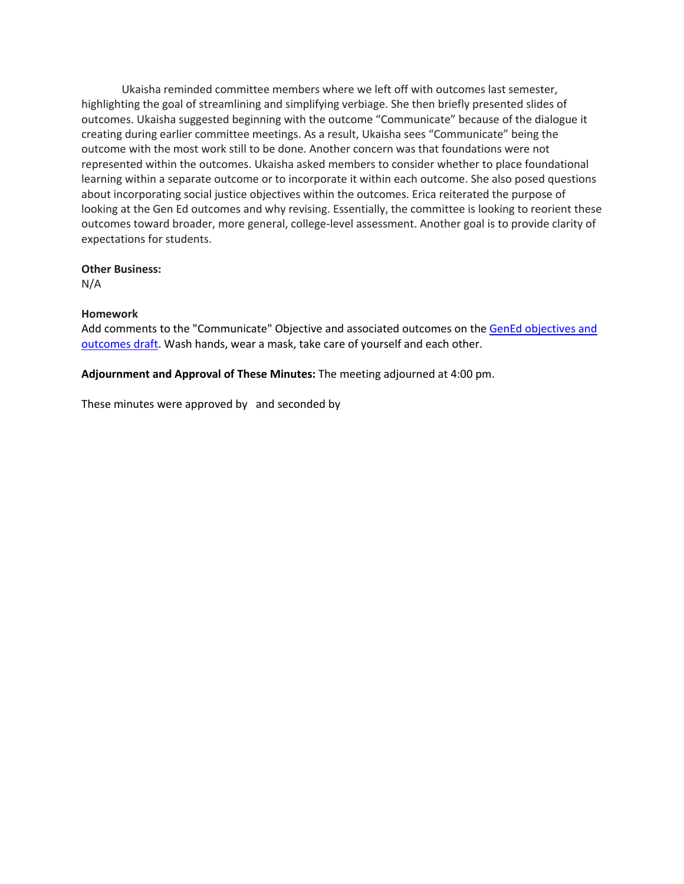Ukaisha reminded committee members where we left off with outcomes last semester, highlighting the goal of streamlining and simplifying verbiage. She then briefly presented slides of outcomes. Ukaisha suggested beginning with the outcome "Communicate" because of the dialogue it creating during earlier committee meetings. As a result, Ukaisha sees "Communicate" being the outcome with the most work still to be done. Another concern was that foundations were not represented within the outcomes. Ukaisha asked members to consider whether to place foundational learning within a separate outcome or to incorporate it within each outcome. She also posed questions about incorporating social justice objectives within the outcomes. Erica reiterated the purpose of looking at the Gen Ed outcomes and why revising. Essentially, the committee is looking to reorient these outcomes toward broader, more general, college-level assessment. Another goal is to provide clarity of expectations for students.

### **Other Business:**

N/A

## **Homework**

Add comments to the "Communicate" Objective and associated outcomes on the GenEd objectives and outcomes draft. Wash hands, wear a mask, take care of yourself and each other.

## **Adjournment and Approval of These Minutes:** The meeting adjourned at 4:00 pm.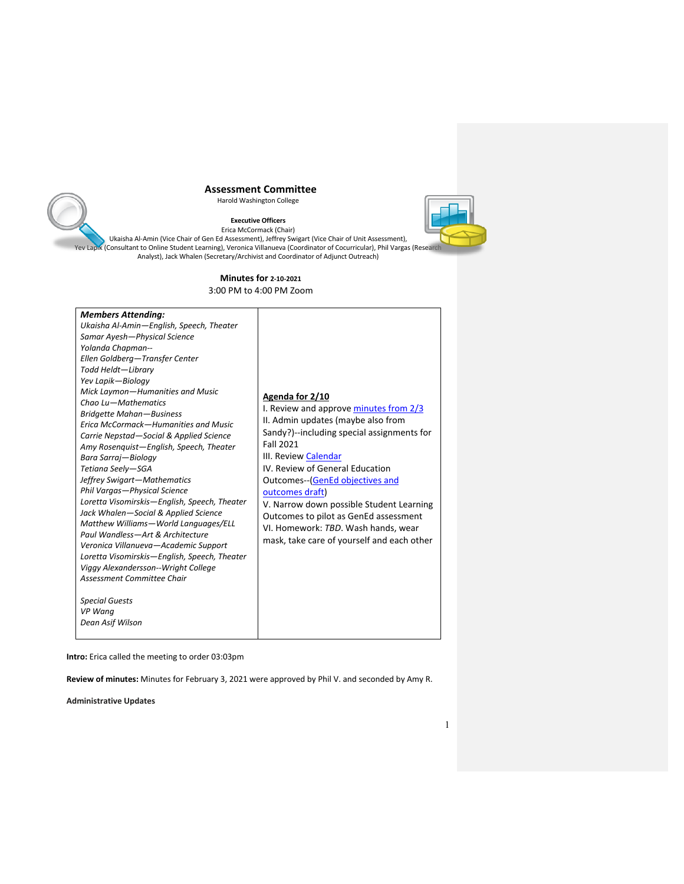Harold Washington College



**Executive Officers** Erica McCormack (Chair) Ukaisha Al-Amin (Vice Chair of Gen Ed Assessment), Jeffrey Swigart (Vice Chair of Unit Assessment), Yev Lapik (Consultant to Online Student Learning), Veronica Villanueva (Coordinator of Cocurricular), Phil Vargas (Research Analyst), Jack Whalen (Secretary/Archivist and Coordinator of Adjunct Outreach)

### **Minutes for 2-10-2021**

3:00 PM to 4:00 PM Zoo

| <b>Members Attending:</b>                                                                                                                                                                                                                                                                                                                                                                                                                                                                                                                                                                                                                                                                     |                                                                                                                                                                                                                                                                                                                                                                                                                                                              |
|-----------------------------------------------------------------------------------------------------------------------------------------------------------------------------------------------------------------------------------------------------------------------------------------------------------------------------------------------------------------------------------------------------------------------------------------------------------------------------------------------------------------------------------------------------------------------------------------------------------------------------------------------------------------------------------------------|--------------------------------------------------------------------------------------------------------------------------------------------------------------------------------------------------------------------------------------------------------------------------------------------------------------------------------------------------------------------------------------------------------------------------------------------------------------|
| Ukaisha Al-Amin-English, Speech, Theater                                                                                                                                                                                                                                                                                                                                                                                                                                                                                                                                                                                                                                                      |                                                                                                                                                                                                                                                                                                                                                                                                                                                              |
| Samar Ayesh-Physical Science                                                                                                                                                                                                                                                                                                                                                                                                                                                                                                                                                                                                                                                                  |                                                                                                                                                                                                                                                                                                                                                                                                                                                              |
| Yolanda Chapman--                                                                                                                                                                                                                                                                                                                                                                                                                                                                                                                                                                                                                                                                             |                                                                                                                                                                                                                                                                                                                                                                                                                                                              |
| Ellen Goldberg-Transfer Center                                                                                                                                                                                                                                                                                                                                                                                                                                                                                                                                                                                                                                                                |                                                                                                                                                                                                                                                                                                                                                                                                                                                              |
| Todd Heldt-Library                                                                                                                                                                                                                                                                                                                                                                                                                                                                                                                                                                                                                                                                            |                                                                                                                                                                                                                                                                                                                                                                                                                                                              |
| Yev Lapik-Biology                                                                                                                                                                                                                                                                                                                                                                                                                                                                                                                                                                                                                                                                             |                                                                                                                                                                                                                                                                                                                                                                                                                                                              |
| Mick Laymon-Humanities and Music<br>Chao Lu-Mathematics<br><b>Bridgette Mahan-Business</b><br>Erica McCormack-Humanities and Music<br>Carrie Nepstad-Social & Applied Science<br>Amy Rosenquist-English, Speech, Theater<br>Bara Sarraj-Biology<br>Tetiana Seely-SGA<br>Jeffrey Swigart-Mathematics<br>Phil Vargas-Physical Science<br>Loretta Visomirskis-English, Speech, Theater<br>Jack Whalen-Social & Applied Science<br>Matthew Williams-World Languages/ELL<br>Paul Wandless-Art & Architecture<br>Veronica Villanueva-Academic Support<br>Loretta Visomirskis-English, Speech, Theater<br>Viggy Alexandersson--Wright College<br>Assessment Committee Chair<br><b>Special Guests</b> | Agenda for 2/10<br>I. Review and approve minutes from 2/3<br>II. Admin updates (maybe also from<br>Sandy?)--including special assignments for<br><b>Fall 2021</b><br>III. Review Calendar<br>IV. Review of General Education<br>Outcomes--(GenEd objectives and<br>outcomes draft)<br>V. Narrow down possible Student Learning<br>Outcomes to pilot as GenEd assessment<br>VI. Homework: TBD. Wash hands, wear<br>mask, take care of yourself and each other |
| VP Wang                                                                                                                                                                                                                                                                                                                                                                                                                                                                                                                                                                                                                                                                                       |                                                                                                                                                                                                                                                                                                                                                                                                                                                              |
| Dean Asif Wilson                                                                                                                                                                                                                                                                                                                                                                                                                                                                                                                                                                                                                                                                              |                                                                                                                                                                                                                                                                                                                                                                                                                                                              |
|                                                                                                                                                                                                                                                                                                                                                                                                                                                                                                                                                                                                                                                                                               |                                                                                                                                                                                                                                                                                                                                                                                                                                                              |

**Intro:** Erica called the meeting to order 03:03pm

**Review of minutes:** Minutes for February 3, 2021 were approved by Phil V. and seconded by Amy R.

**Administrative Updates**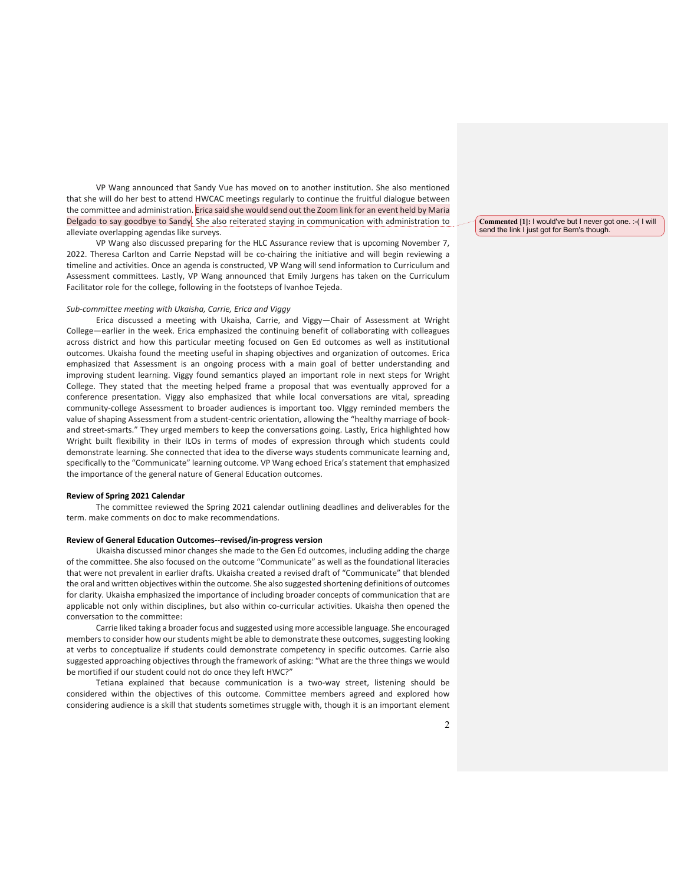VP Wang announced that Sandy Vue has moved on to another institution. She also mentioned that she will do her best to attend HWCAC meetings regularly to continue the fruitful dialogue between the committee and administration. Erica said she would send out the Zoom link for an event held by Maria Delgado to say goodbye to Sandy. She also reiterated staying in communication with administration to alleviate overlapping agendas like surveys.

VP Wang also discussed preparing for the HLC Assurance review that is upcoming November 7, 2022. Theresa Carlton and Carrie Nepstad will be co-chairing the initiative and will begin reviewing a timeline and activities. Once an agenda is constructed, VP Wang will send information to Curriculum and Assessment committees. Lastly, VP Wang announced that Emily Jurgens has taken on the Curriculum Facilitator role for the college, following in the footsteps of Ivanhoe Tejeda.

#### *Sub-committee meeting with Ukaisha, Carrie, Erica and Viggy*

Erica discussed a meeting with Ukaisha, Carrie, and Viggy—Chair of Assessment at Wright College—earlier in the week. Erica emphasized the continuing benefit of collaborating with colleagues across district and how this particular meeting focused on Gen Ed outcomes as well as institutional outcomes. Ukaisha found the meeting useful in shaping objectives and organization of outcomes. Erica emphasized that Assessment is an ongoing process with a main goal of better understanding and improving student learning. Viggy found semantics played an important role in next steps for Wright College. They stated that the meeting helped frame a proposal that was eventually approved for a conference presentation. Viggy also emphasized that while local conversations are vital, spreading community-college Assessment to broader audiences is important too. VIggy reminded members the value of shaping Assessment from a student-centric orientation, allowing the "healthy marriage of bookand street-smarts." They urged members to keep the conversations going. Lastly, Erica highlighted how Wright built flexibility in their ILOs in terms of modes of expression through which students could demonstrate learning. She connected that idea to the diverse ways students communicate learning and, specifically to the "Communicate" learning outcome. VP Wang echoed Erica's statement that emphasized the importance of the general nature of General Education outcomes.

#### **Review of Spring 2021 Calendar**

The committee reviewed the Spring 2021 calendar outlining deadlines and deliverables for the term. make comments on doc to make recommendations.

#### **Review of General Education Outcomes--revised/in-progress version**

Ukaisha discussed minor changes she made to the Gen Ed outcomes, including adding the charge of the committee. She also focused on the outcome "Communicate" as well as the foundational literacies that were not prevalent in earlier drafts. Ukaisha created a revised draft of "Communicate" that blended the oral and written objectives within the outcome. She also suggested shortening definitions of outcomes for clarity. Ukaisha emphasized the importance of including broader concepts of communication that are applicable not only within disciplines, but also within co-curricular activities. Ukaisha then opened the conversation to the committee:

Carrie liked taking a broader focus and suggested using more accessible language. She encouraged members to consider how our students might be able to demonstrate these outcomes, suggesting looking at verbs to conceptualize if students could demonstrate competency in specific outcomes. Carrie also suggested approaching objectives through the framework of asking: "What are the three things we would be mortified if our student could not do once they left HWC?"

Tetiana explained that because communication is a two-way street, listening should be considered within the objectives of this outcome. Committee members agreed and explored how considering audience is a skill that students sometimes struggle with, though it is an important element

**Commented [1]:** I would've but I never got one. :-( I will send the link I just got for Bern's though.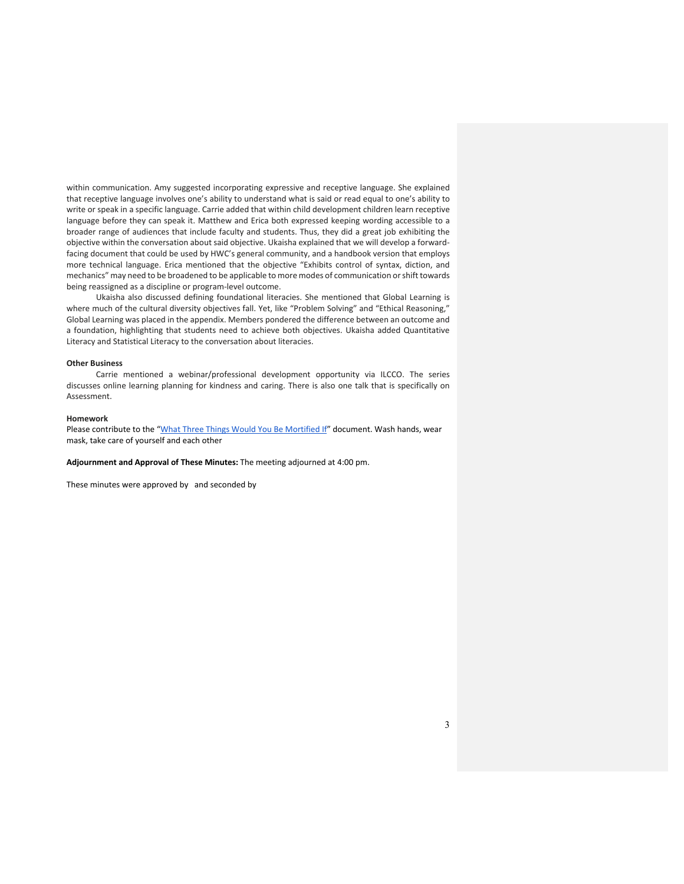within communication. Amy suggested incorporating expressive and receptive language. She explained that receptive language involves one's ability to understand what is said or read equal to one's ability to write or speak in a specific language. Carrie added that within child development children learn receptive language before they can speak it. Matthew and Erica both expressed keeping wording accessible to a broader range of audiences that include faculty and students. Thus, they did a great job exhibiting the objective within the conversation about said objective. Ukaisha explained that we will develop a forwardfacing document that could be used by HWC's general community, and a handbook version that employs more technical language. Erica mentioned that the objective "Exhibits control of syntax, diction, and mechanics" may need to be broadened to be applicable to more modes of communication or shift towards being reassigned as a discipline or program-level outcome.

Ukaisha also discussed defining foundational literacies. She mentioned that Global Learning is where much of the cultural diversity objectives fall. Yet, like "Problem Solving" and "Ethical Reasoning," Global Learning was placed in the appendix. Members pondered the difference between an outcome and a foundation, highlighting that students need to achieve both objectives. Ukaisha added Quantitative Literacy and Statistical Literacy to the conversation about literacies.

#### **Other Business**

Carrie mentioned a webinar/professional development opportunity via ILCCO. The series discusses online learning planning for kindness and caring. There is also one talk that is specifically on Assessment.

#### **Homework**

Please contribute to the "What Three Things Would You Be Mortified If" document. Wash hands, wear mask, take care of yourself and each other

**Adjournment and Approval of These Minutes:** The meeting adjourned at 4:00 pm.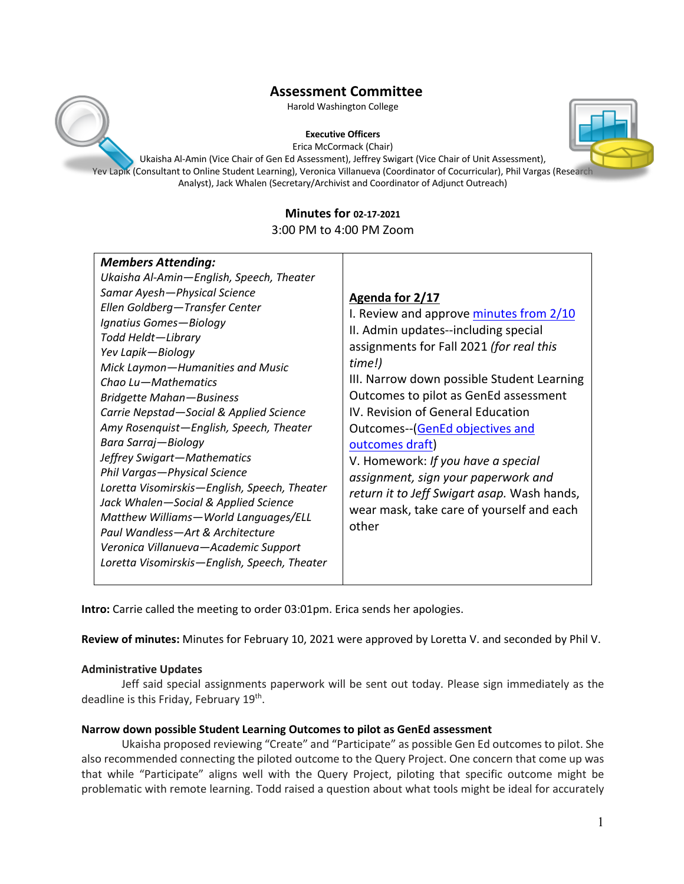Harold Washington College

### **Executive Officers**

Erica McCormack (Chair)

Ukaisha Al-Amin (Vice Chair of Gen Ed Assessment), Jeffrey Swigart (Vice Chair of Unit Assessment), Yev Lapik (Consultant to Online Student Learning), Veronica Villanueva (Coordinator of Cocurricular), Phil Vargas (Research Analyst), Jack Whalen (Secretary/Archivist and Coordinator of Adjunct Outreach)

## **Minutes for 02-17-2021**

3:00 PM to 4:00 PM Zoom

| <b>Members Attending:</b>                                                                                                                                                                                                                                                                                                                                                                 |                                                                                                                                                                                                                                                                                     |
|-------------------------------------------------------------------------------------------------------------------------------------------------------------------------------------------------------------------------------------------------------------------------------------------------------------------------------------------------------------------------------------------|-------------------------------------------------------------------------------------------------------------------------------------------------------------------------------------------------------------------------------------------------------------------------------------|
| Ukaisha Al-Amin-English, Speech, Theater                                                                                                                                                                                                                                                                                                                                                  |                                                                                                                                                                                                                                                                                     |
| Samar Ayesh-Physical Science<br>Ellen Goldberg-Transfer Center<br>Ignatius Gomes-Biology<br>Todd Heldt-Library<br>Yev Lapik-Biology<br>Mick Laymon-Humanities and Music<br>Chao Lu-Mathematics<br><b>Bridgette Mahan-Business</b><br>Carrie Nepstad-Social & Applied Science                                                                                                              | Agenda for 2/17<br>I. Review and approve minutes from 2/10<br>II. Admin updates-including special<br>assignments for Fall 2021 (for real this<br>time!)<br>III. Narrow down possible Student Learning<br>Outcomes to pilot as GenEd assessment<br>IV. Revision of General Education |
| Amy Rosenquist-English, Speech, Theater<br>Bara Sarraj-Biology<br>Jeffrey Swigart-Mathematics<br>Phil Vargas-Physical Science<br>Loretta Visomirskis-English, Speech, Theater<br>Jack Whalen-Social & Applied Science<br>Matthew Williams-World Languages/ELL<br>Paul Wandless-Art & Architecture<br>Veronica Villanueva-Academic Support<br>Loretta Visomirskis-English, Speech, Theater | Outcomes-(GenEd objectives and<br>outcomes draft)<br>V. Homework: If you have a special<br>assignment, sign your paperwork and<br>return it to Jeff Swigart asap. Wash hands,<br>wear mask, take care of yourself and each<br>other                                                 |

**Intro:** Carrie called the meeting to order 03:01pm. Erica sends her apologies.

**Review of minutes:** Minutes for February 10, 2021 were approved by Loretta V. and seconded by Phil V.

## **Administrative Updates**

Jeff said special assignments paperwork will be sent out today. Please sign immediately as the deadline is this Friday, February 19<sup>th</sup>.

## **Narrow down possible Student Learning Outcomes to pilot as GenEd assessment**

Ukaisha proposed reviewing "Create" and "Participate" as possible Gen Ed outcomes to pilot. She also recommended connecting the piloted outcome to the Query Project. One concern that come up was that while "Participate" aligns well with the Query Project, piloting that specific outcome might be problematic with remote learning. Todd raised a question about what tools might be ideal for accurately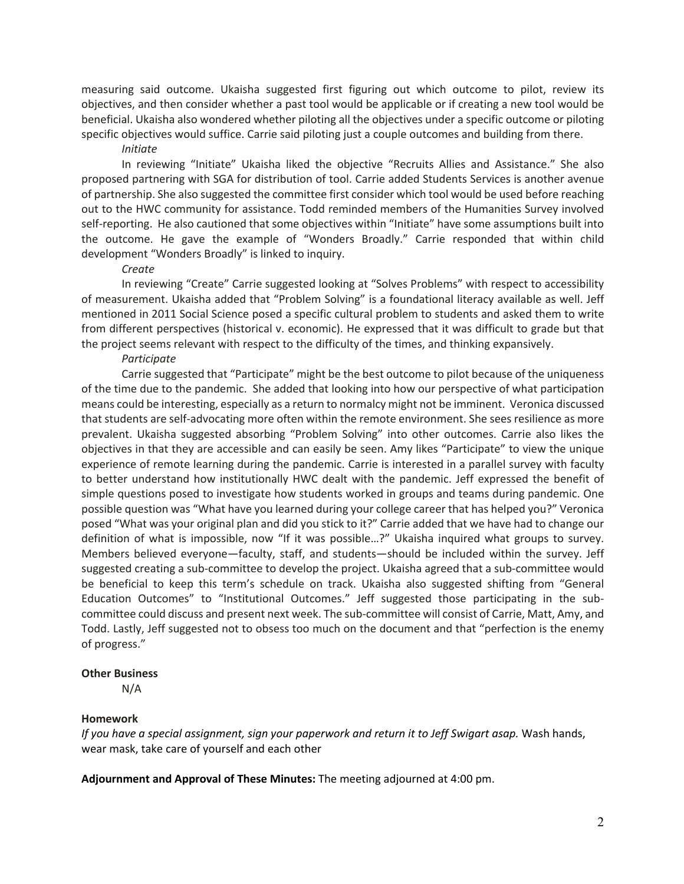measuring said outcome. Ukaisha suggested first figuring out which outcome to pilot, review its objectives, and then consider whether a past tool would be applicable or if creating a new tool would be beneficial. Ukaisha also wondered whether piloting all the objectives under a specific outcome or piloting specific objectives would suffice. Carrie said piloting just a couple outcomes and building from there.

## *Initiate*

In reviewing "Initiate" Ukaisha liked the objective "Recruits Allies and Assistance." She also proposed partnering with SGA for distribution of tool. Carrie added Students Services is another avenue of partnership. She also suggested the committee first consider which tool would be used before reaching out to the HWC community for assistance. Todd reminded members of the Humanities Survey involved self-reporting. He also cautioned that some objectives within "Initiate" have some assumptions built into the outcome. He gave the example of "Wonders Broadly." Carrie responded that within child development "Wonders Broadly" is linked to inquiry.

### *Create*

In reviewing "Create" Carrie suggested looking at "Solves Problems" with respect to accessibility of measurement. Ukaisha added that "Problem Solving" is a foundational literacy available as well. Jeff mentioned in 2011 Social Science posed a specific cultural problem to students and asked them to write from different perspectives (historical v. economic). He expressed that it was difficult to grade but that the project seems relevant with respect to the difficulty of the times, and thinking expansively.

### *Participate*

Carrie suggested that "Participate" might be the best outcome to pilot because of the uniqueness of the time due to the pandemic. She added that looking into how our perspective of what participation means could be interesting, especially as a return to normalcy might not be imminent. Veronica discussed that students are self-advocating more often within the remote environment. She sees resilience as more prevalent. Ukaisha suggested absorbing "Problem Solving" into other outcomes. Carrie also likes the objectives in that they are accessible and can easily be seen. Amy likes "Participate" to view the unique experience of remote learning during the pandemic. Carrie is interested in a parallel survey with faculty to better understand how institutionally HWC dealt with the pandemic. Jeff expressed the benefit of simple questions posed to investigate how students worked in groups and teams during pandemic. One possible question was "What have you learned during your college career that has helped you?" Veronica posed "What was your original plan and did you stick to it?" Carrie added that we have had to change our definition of what is impossible, now "If it was possible…?" Ukaisha inquired what groups to survey. Members believed everyone—faculty, staff, and students—should be included within the survey. Jeff suggested creating a sub-committee to develop the project. Ukaisha agreed that a sub-committee would be beneficial to keep this term's schedule on track. Ukaisha also suggested shifting from "General Education Outcomes" to "Institutional Outcomes." Jeff suggested those participating in the subcommittee could discuss and present next week. The sub-committee will consist of Carrie, Matt, Amy, and Todd. Lastly, Jeff suggested not to obsess too much on the document and that "perfection is the enemy of progress."

## **Other Business**

N/A

## **Homework**

*If you have a special assignment, sign your paperwork and return it to Jeff Swigart asap.* Wash hands, wear mask, take care of yourself and each other

**Adjournment and Approval of These Minutes:** The meeting adjourned at 4:00 pm.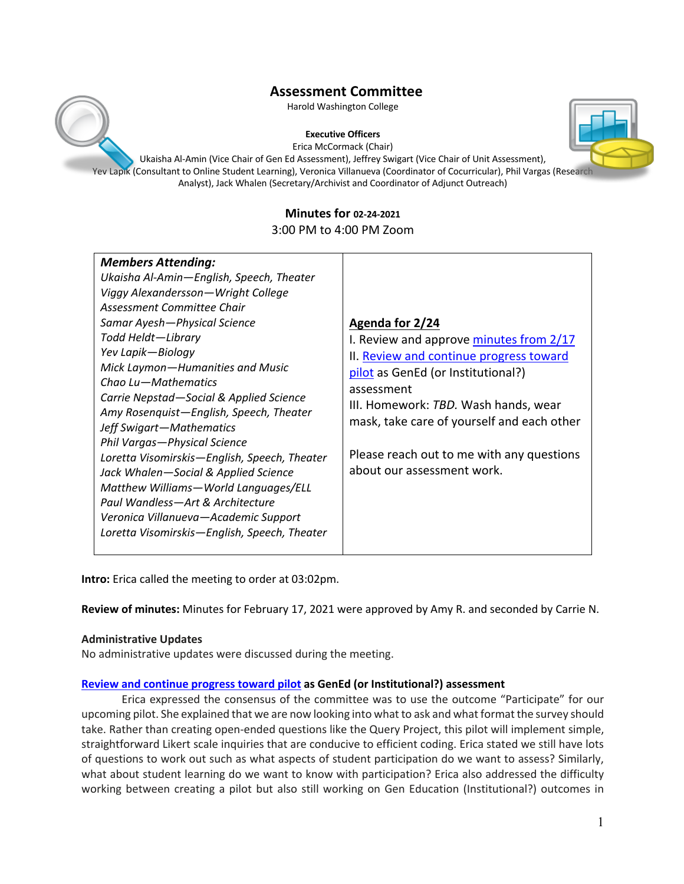

### **Executive Officers**



Erica McCormack (Chair)

Ukaisha Al-Amin (Vice Chair of Gen Ed Assessment), Jeffrey Swigart (Vice Chair of Unit Assessment), Yev Lapik (Consultant to Online Student Learning), Veronica Villanueva (Coordinator of Cocurricular), Phil Vargas (Research Analyst), Jack Whalen (Secretary/Archivist and Coordinator of Adjunct Outreach)

## **Minutes for 02-24-2021**

## 3:00 PM to 4:00 PM Zoom

**Intro:** Erica called the meeting to order at 03:02pm.

**Review of minutes:** Minutes for February 17, 2021 were approved by Amy R. and seconded by Carrie N.

## **Administrative Updates**

No administrative updates were discussed during the meeting.

## **Review and continue progress toward pilot as GenEd (or Institutional?) assessment**

Erica expressed the consensus of the committee was to use the outcome "Participate" for our upcoming pilot. She explained that we are now looking into what to ask and what format the survey should take. Rather than creating open-ended questions like the Query Project, this pilot will implement simple, straightforward Likert scale inquiries that are conducive to efficient coding. Erica stated we still have lots of questions to work out such as what aspects of student participation do we want to assess? Similarly, what about student learning do we want to know with participation? Erica also addressed the difficulty working between creating a pilot but also still working on Gen Education (Institutional?) outcomes in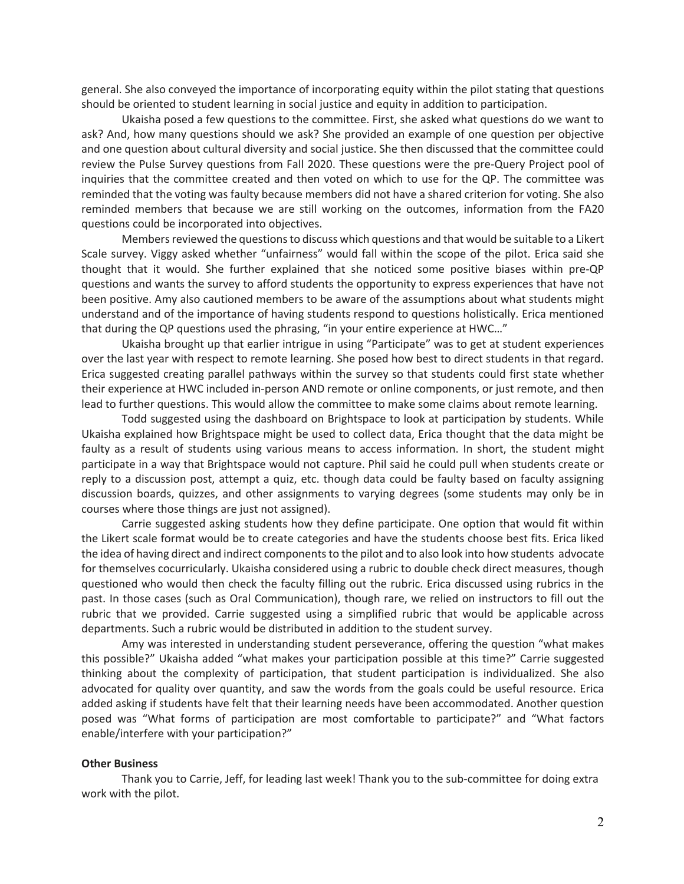general. She also conveyed the importance of incorporating equity within the pilot stating that questions should be oriented to student learning in social justice and equity in addition to participation.

Ukaisha posed a few questions to the committee. First, she asked what questions do we want to ask? And, how many questions should we ask? She provided an example of one question per objective and one question about cultural diversity and social justice. She then discussed that the committee could review the Pulse Survey questions from Fall 2020. These questions were the pre-Query Project pool of inquiries that the committee created and then voted on which to use for the QP. The committee was reminded that the voting was faulty because members did not have a shared criterion for voting. She also reminded members that because we are still working on the outcomes, information from the FA20 questions could be incorporated into objectives.

Members reviewed the questions to discuss which questions and that would be suitable to a Likert Scale survey. Viggy asked whether "unfairness" would fall within the scope of the pilot. Erica said she thought that it would. She further explained that she noticed some positive biases within pre-QP questions and wants the survey to afford students the opportunity to express experiences that have not been positive. Amy also cautioned members to be aware of the assumptions about what students might understand and of the importance of having students respond to questions holistically. Erica mentioned that during the QP questions used the phrasing, "in your entire experience at HWC…"

Ukaisha brought up that earlier intrigue in using "Participate" was to get at student experiences over the last year with respect to remote learning. She posed how best to direct students in that regard. Erica suggested creating parallel pathways within the survey so that students could first state whether their experience at HWC included in-person AND remote or online components, or just remote, and then lead to further questions. This would allow the committee to make some claims about remote learning.

Todd suggested using the dashboard on Brightspace to look at participation by students. While Ukaisha explained how Brightspace might be used to collect data, Erica thought that the data might be faulty as a result of students using various means to access information. In short, the student might participate in a way that Brightspace would not capture. Phil said he could pull when students create or reply to a discussion post, attempt a quiz, etc. though data could be faulty based on faculty assigning discussion boards, quizzes, and other assignments to varying degrees (some students may only be in courses where those things are just not assigned).

Carrie suggested asking students how they define participate. One option that would fit within the Likert scale format would be to create categories and have the students choose best fits. Erica liked the idea of having direct and indirect components to the pilot and to also look into how students advocate for themselves cocurricularly. Ukaisha considered using a rubric to double check direct measures, though questioned who would then check the faculty filling out the rubric. Erica discussed using rubrics in the past. In those cases (such as Oral Communication), though rare, we relied on instructors to fill out the rubric that we provided. Carrie suggested using a simplified rubric that would be applicable across departments. Such a rubric would be distributed in addition to the student survey.

Amy was interested in understanding student perseverance, offering the question "what makes this possible?" Ukaisha added "what makes your participation possible at this time?" Carrie suggested thinking about the complexity of participation, that student participation is individualized. She also advocated for quality over quantity, and saw the words from the goals could be useful resource. Erica added asking if students have felt that their learning needs have been accommodated. Another question posed was "What forms of participation are most comfortable to participate?" and "What factors enable/interfere with your participation?"

### **Other Business**

Thank you to Carrie, Jeff, for leading last week! Thank you to the sub-committee for doing extra work with the pilot.